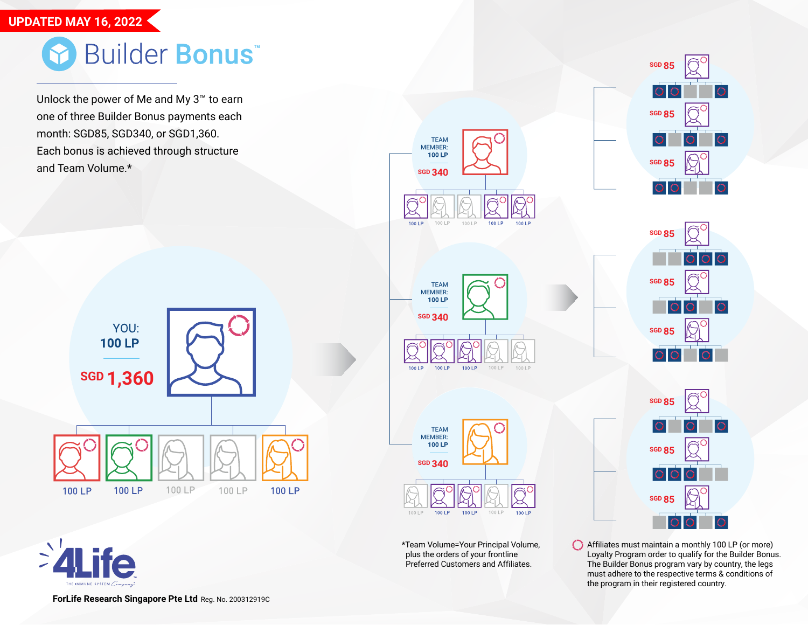## **UPDATED MAY 16, 2022**

## Builder Bonus

Unlock the power of Me and My 3™ to earn one of three Builder Bonus payments each month: SGD85, SGD340, or SGD1,360. Each bonus is achieved through structure and Team Volume.\*









\*Team Volume=Your Principal Volume, plus the orders of your frontline Preferred Customers and Affiliates.





**SGD 85 SGD 85 SGD 85**

Affiliates must maintain a monthly 100 LP (or more) Loyalty Program order to qualify for the Builder Bonus. The Builder Bonus program vary by country, the legs must adhere to the respective terms & conditions of the program in their registered country.

**ForLife Research Singapore Pte Ltd** Reg. No. 200312919C

 $\sum_{i=1}^{n}$